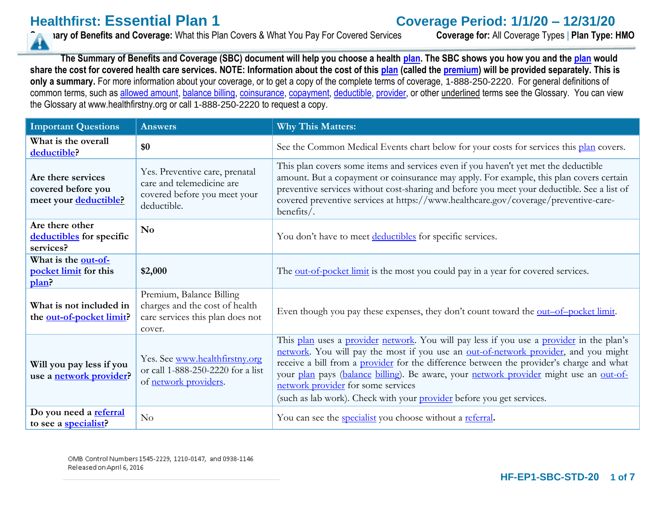**Healthfirst: Essential Plan 1**<br> **Coverage Period: 1/1/20 – 12/31/20**<br> **Coverage for: All Coverage Types | Plan Type: HMO**<br> **Coverage for: All Coverage Types | Plan Type: HMO Summary of Benefits and Coverage:** What this Plan Covers & What You Pay For Covered Services

**The Summary of Benefits and Coverage (SBC) document will help you choose a health [plan.](https://www.healthcare.gov/sbc-glossary/#plan) The SBC shows you how you and th[e plan](https://www.healthcare.gov/sbc-glossary/#plan) would share the cost for covered health care services. NOTE: Information about the cost of this [plan](https://www.healthcare.gov/sbc-glossary/#plan) (called the [premium\)](https://www.healthcare.gov/sbc-glossary/#premium) will be provided separately. This is**  only a summary. For more information about your coverage, or to get a copy of the complete terms of coverage, 1-888-250-2220. For general definitions of common terms, such as [allowed amount,](https://www.healthcare.gov/sbc-glossary/#allowed-amount) [balance billing,](https://www.healthcare.gov/sbc-glossary/#balance-billing) [coinsurance,](https://www.healthcare.gov/sbc-glossary/#coinsurance) [copayment,](https://www.healthcare.gov/sbc-glossary/#copayment) [deductible,](https://www.healthcare.gov/sbc-glossary/#deductible) [provider,](https://www.healthcare.gov/sbc-glossary/#provider) or other underlined terms see the Glossary. You can view the Glossary at www.healthfirstny.org or call 1-888-250-2220 to request a copy.

| <b>Important Questions</b>                                        | <b>Answers</b>                                                                                             | <b>Why This Matters:</b>                                                                                                                                                                                                                                                                                                                                                                                                                                                                    |
|-------------------------------------------------------------------|------------------------------------------------------------------------------------------------------------|---------------------------------------------------------------------------------------------------------------------------------------------------------------------------------------------------------------------------------------------------------------------------------------------------------------------------------------------------------------------------------------------------------------------------------------------------------------------------------------------|
| What is the overall<br>deductible?                                | \$0                                                                                                        | See the Common Medical Events chart below for your costs for services this plan covers.                                                                                                                                                                                                                                                                                                                                                                                                     |
| Are there services<br>covered before you<br>meet your deductible? | Yes. Preventive care, prenatal<br>care and telemedicine are<br>covered before you meet your<br>deductible. | This plan covers some items and services even if you haven't yet met the deductible<br>amount. But a copayment or coinsurance may apply. For example, this plan covers certain<br>preventive services without cost-sharing and before you meet your deductible. See a list of<br>covered preventive services at https://www.healthcare.gov/coverage/preventive-care-<br>$b$ enefits/.                                                                                                       |
| Are there other<br>deductibles for specific<br>services?          | N <sub>0</sub>                                                                                             | You don't have to meet deductibles for specific services.                                                                                                                                                                                                                                                                                                                                                                                                                                   |
| What is the out-of-<br>pocket limit for this<br>plan?             | \$2,000                                                                                                    | The <u>out-of-pocket limit</u> is the most you could pay in a year for covered services.                                                                                                                                                                                                                                                                                                                                                                                                    |
| What is not included in<br>the out-of-pocket limit?               | Premium, Balance Billing<br>charges and the cost of health<br>care services this plan does not<br>cover.   | Even though you pay these expenses, they don't count toward the <u>out-of-pocket limit</u> .                                                                                                                                                                                                                                                                                                                                                                                                |
| Will you pay less if you<br>use a network provider?               | Yes. See www.healthfirstny.org<br>or call 1-888-250-2220 for a list<br>of network providers.               | This plan uses a provider network. You will pay less if you use a provider in the plan's<br>network. You will pay the most if you use an out-of-network provider, and you might<br>receive a bill from a <b>provider</b> for the difference between the provider's charge and what<br>your plan pays (balance billing). Be aware, your network provider might use an out-of-<br>network provider for some services<br>(such as lab work). Check with your provider before you get services. |
| Do you need a referral<br>to see a specialist?                    | No                                                                                                         | You can see the <b>specialist</b> you choose without a referral.                                                                                                                                                                                                                                                                                                                                                                                                                            |

OMB Control Numbers 1545-2229, 1210-0147, and 0938-1146 Released on April 6, 2016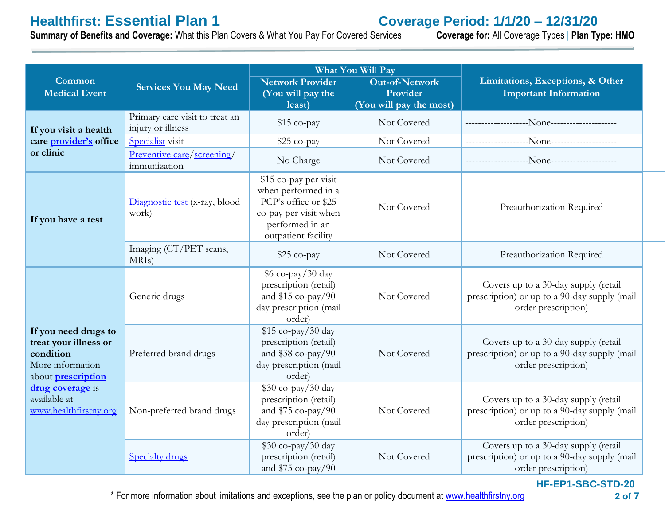**Healthfirst: Essential Plan 1**<br> **Coverage Period: 1/1/20 – 12/31/20**<br> **Summary of Benefits and Coverage:** What this Plan Covers & What You Pay For Covered Services Coverage for: All Coverage Types | Plan Type: HMO **Summary of Benefits and Coverage: What this Plan Covers & What You Pay For Covered Services** 

|                                                                                                                                                                          |                                                     |                                                                                                                                         | <b>What You Will Pay</b>                                     | Limitations, Exceptions, & Other<br><b>Important Information</b>                                            |  |
|--------------------------------------------------------------------------------------------------------------------------------------------------------------------------|-----------------------------------------------------|-----------------------------------------------------------------------------------------------------------------------------------------|--------------------------------------------------------------|-------------------------------------------------------------------------------------------------------------|--|
| Common<br><b>Medical Event</b>                                                                                                                                           | <b>Services You May Need</b>                        | <b>Network Provider</b><br>(You will pay the<br>least)                                                                                  | <b>Out-of-Network</b><br>Provider<br>(You will pay the most) |                                                                                                             |  |
| If you visit a health<br>care provider's office<br>or clinic                                                                                                             | Primary care visit to treat an<br>injury or illness | \$15 co-pay                                                                                                                             | Not Covered                                                  |                                                                                                             |  |
|                                                                                                                                                                          | Specialist visit                                    | $$25$ co-pay                                                                                                                            | Not Covered                                                  |                                                                                                             |  |
|                                                                                                                                                                          | Preventive care/screening/<br>immunization          | No Charge                                                                                                                               | Not Covered                                                  |                                                                                                             |  |
| If you have a test                                                                                                                                                       | Diagnostic test (x-ray, blood<br>work)              | \$15 co-pay per visit<br>when performed in a<br>PCP's office or \$25<br>co-pay per visit when<br>performed in an<br>outpatient facility | Not Covered                                                  | Preauthorization Required                                                                                   |  |
|                                                                                                                                                                          | Imaging (CT/PET scans,<br>MRI <sub>s</sub> )        | \$25 co-pay                                                                                                                             | Not Covered                                                  | Preauthorization Required                                                                                   |  |
| If you need drugs to<br>treat your illness or<br>condition<br>More information<br>about <b>prescription</b><br>drug coverage is<br>available at<br>www.healthfirstny.org | Generic drugs                                       | $6$ co-pay/30 day<br>prescription (retail)<br>and $$15 co-pay/90$<br>day prescription (mail<br>order)                                   | Not Covered                                                  | Covers up to a 30-day supply (retail<br>prescription) or up to a 90-day supply (mail<br>order prescription) |  |
|                                                                                                                                                                          | Preferred brand drugs                               | $$15 co-pay/30 day$<br>prescription (retail)<br>and $$38$ co-pay/90<br>day prescription (mail<br>order)                                 | Not Covered                                                  | Covers up to a 30-day supply (retail<br>prescription) or up to a 90-day supply (mail<br>order prescription) |  |
|                                                                                                                                                                          | Non-preferred brand drugs                           | $$30$ co-pay/30 day<br>prescription (retail)<br>and $$75 co-pay/90$<br>day prescription (mail<br>order)                                 | Not Covered                                                  | Covers up to a 30-day supply (retail<br>prescription) or up to a 90-day supply (mail<br>order prescription) |  |
|                                                                                                                                                                          | <b>Specialty drugs</b>                              | \$30 co-pay/30 day<br>prescription (retail)<br>and $$75 co-pay/90$                                                                      | Not Covered                                                  | Covers up to a 30-day supply (retail<br>prescription) or up to a 90-day supply (mail<br>order prescription) |  |

**HF-EP1-SBC-STD-20**

\* For more information about limitations and exceptions, see the plan or policy document at [www.healthfirstny.org](http://www.healthfirstny.org/)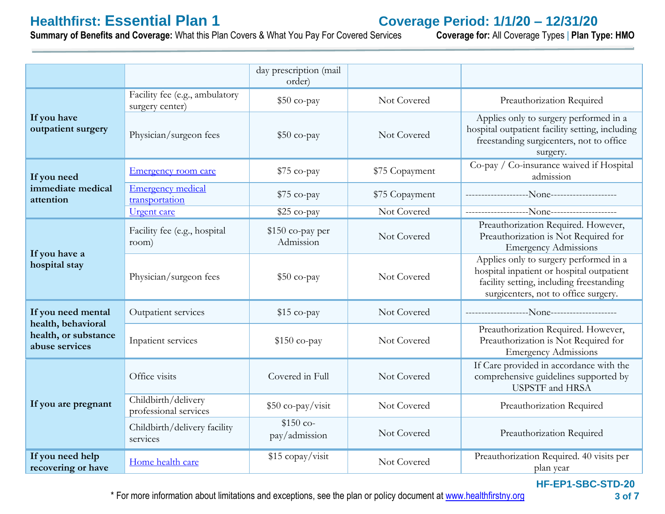**Healthfirst: Essential Plan 1**<br> **Summary of Benefits and Coverage:** What this Plan Covers & What You Pay For Covered Services Coverage for: All Coverage Types | Plan Type: HMO **Summary of Benefits and Coverage: What this Plan Covers & What You Pay For Covered Services** 

|                                                                                    |                                                   | day prescription (mail<br>order) |                |                                                                                                                                                                         |
|------------------------------------------------------------------------------------|---------------------------------------------------|----------------------------------|----------------|-------------------------------------------------------------------------------------------------------------------------------------------------------------------------|
| If you have<br>outpatient surgery                                                  | Facility fee (e.g., ambulatory<br>surgery center) | $$50$ co-pay                     | Not Covered    | Preauthorization Required                                                                                                                                               |
|                                                                                    | Physician/surgeon fees                            | $$50$ co-pay                     | Not Covered    | Applies only to surgery performed in a<br>hospital outpatient facility setting, including<br>freestanding surgicenters, not to office<br>surgery.                       |
| If you need<br>immediate medical<br>attention                                      | <b>Emergency room care</b>                        | $$75$ co-pay                     | \$75 Copayment | Co-pay / Co-insurance waived if Hospital<br>admission                                                                                                                   |
|                                                                                    | <b>Emergency medical</b><br>transportation        | $$75$ co-pay                     | \$75 Copayment |                                                                                                                                                                         |
|                                                                                    | <b>Urgent</b> care                                | $$25$ co-pay                     | Not Covered    |                                                                                                                                                                         |
| If you have a<br>hospital stay                                                     | Facility fee (e.g., hospital<br>room)             | $$150$ co-pay per<br>Admission   | Not Covered    | Preauthorization Required. However,<br>Preauthorization is Not Required for<br><b>Emergency Admissions</b>                                                              |
|                                                                                    | Physician/surgeon fees                            | $$50$ co-pay                     | Not Covered    | Applies only to surgery performed in a<br>hospital inpatient or hospital outpatient<br>facility setting, including freestanding<br>surgicenters, not to office surgery. |
| If you need mental<br>health, behavioral<br>health, or substance<br>abuse services | Outpatient services                               | $$15$ co-pay                     | Not Covered    |                                                                                                                                                                         |
|                                                                                    | Inpatient services                                | $$150$ co-pay                    | Not Covered    | Preauthorization Required. However,<br>Preauthorization is Not Required for<br><b>Emergency Admissions</b>                                                              |
| If you are pregnant                                                                | Office visits                                     | Covered in Full                  | Not Covered    | If Care provided in accordance with the<br>comprehensive guidelines supported by<br><b>USPSTF</b> and HRSA                                                              |
|                                                                                    | Childbirth/delivery<br>professional services      | \$50 co-pay/visit                | Not Covered    | Preauthorization Required                                                                                                                                               |
|                                                                                    | Childbirth/delivery facility<br>services          | $$150$ co-<br>pay/admission      | Not Covered    | Preauthorization Required                                                                                                                                               |
| If you need help<br>recovering or have                                             | Home health care                                  | \$15 copay/visit                 | Not Covered    | Preauthorization Required. 40 visits per<br>plan year                                                                                                                   |

**HF-EP1-SBC-STD-20**

\* For more information about limitations and exceptions, see the plan or policy document at [www.healthfirstny.org](http://www.healthfirstny.org/)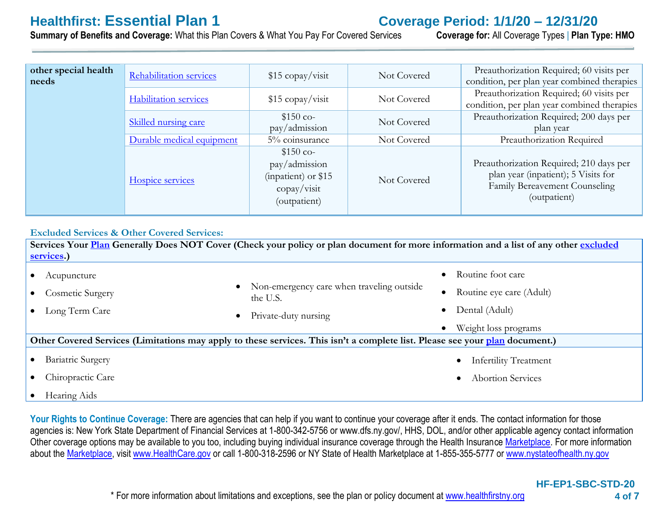**Healthfirst: Essential Plan 1**<br> **Summary of Benefits and Coverage:** What this Plan Covers & What You Pay For Covered Services Coverage for: All Coverage Types | Plan Type: HMO **Summary of Benefits and Coverage: What this Plan Covers & What You Pav For Covered Services** 

| other special health<br>needs | Rehabilitation services      | $$15$ copay/visit                                                                                | Not Covered | Preauthorization Required; 60 visits per<br>condition, per plan year combined therapies                                         |
|-------------------------------|------------------------------|--------------------------------------------------------------------------------------------------|-------------|---------------------------------------------------------------------------------------------------------------------------------|
|                               | <b>Habilitation services</b> | $$15$ copay/visit                                                                                | Not Covered | Preauthorization Required; 60 visits per<br>condition, per plan year combined therapies                                         |
|                               | <b>Skilled nursing care</b>  | $$150$ co-<br>pay/admission                                                                      | Not Covered | Preauthorization Required; 200 days per<br>plan year                                                                            |
|                               | Durable medical equipment    | 5% coinsurance                                                                                   | Not Covered | Preauthorization Required                                                                                                       |
|                               | Hospice services             | $$150$ co-<br>pay/admission<br>(inpatient) or \$15<br>$\text{copy}/\text{visit}$<br>(outpatient) | Not Covered | Preauthorization Required; 210 days per<br>plan year (inpatient); 5 Visits for<br>Family Bereavement Counseling<br>(outpatient) |

## **Excluded Services & Other Covered Services:**

**Services Your [Plan](https://www.healthcare.gov/sbc-glossary/#plan) Generally Does NOT Cover (Check your policy or plan document for more information and a list of any other [excluded](https://www.healthcare.gov/sbc-glossary/#excluded-services)  [services.](https://www.healthcare.gov/sbc-glossary/#excluded-services))** • Acupuncture • Cosmetic Surgery Long Term Care Non-emergency care when traveling outside the U.S. Private-duty nursing Routine foot care Routine eye care (Adult) Dental (Adult) Weight loss programs Other Covered Services (Limitations may apply to these services. This isn't a complete list. Please see your **[plan](https://www.healthcare.gov/sbc-glossary/#plan)** document.) • Bariatric Surgery Chiropractic Care Infertility Treatment Abortion Services

• Hearing Aids

Your Rights to Continue Coverage: There are agencies that can help if you want to continue your coverage after it ends. The contact information for those agencies is: New York State Department of Financial Services at 1-800-342-5756 or www.dfs.ny.gov/, HHS, DOL, and/or other applicable agency contact information Other coverage options may be available to you too, including buying individual insurance coverage through the Health Insuranc[e Marketplace.](https://www.healthcare.gov/sbc-glossary/#marketplace) For more information about the [Marketplace,](https://www.healthcare.gov/sbc-glossary/#marketplace) visit [www.HealthCare.gov](http://www.healthcare.gov/) or call 1-800-318-2596 or NY State of Health Marketplace at 1-855-355-5777 o[r www.nystateofhealth.ny.gov](http://www.nystateofhealth.ny.gov/)

\* For more information about limitations and exceptions, see the plan or policy document at [www.healthfirstny.org](http://www.healthfirstny.org/)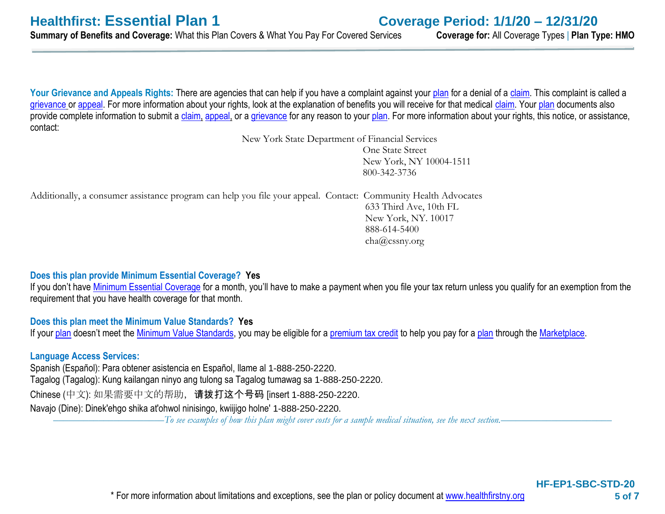Your Grievance and Appeals Rights: There are agencies that can help if you have a complaint against your [plan](https://www.healthcare.gov/sbc-glossary/#plan) for a denial of a [claim.](https://www.healthcare.gov/sbc-glossary/#claim) This complaint is called a [grievance](https://www.healthcare.gov/sbc-glossary/#grievance) or [appeal.](https://www.healthcare.gov/sbc-glossary/#appeal) For more information about your rights, look at the explanation of benefits you will receive for that medical [claim.](https://www.healthcare.gov/sbc-glossary/#claim) Your [plan](https://www.healthcare.gov/sbc-glossary/#plan) documents also provide complete information to submit a [claim,](https://www.healthcare.gov/sbc-glossary/#claim) [appeal,](https://www.healthcare.gov/sbc-glossary/#appeal) or a [grievance](https://www.healthcare.gov/sbc-glossary/#grievance) for any reason to your [plan.](https://www.healthcare.gov/sbc-glossary/#plan) For more information about your rights, this notice, or assistance, contact:

> New York State Department of Financial Services One State Street New York, NY 10004-1511 800-342-3736

Additionally, a consumer assistance program can help you file your appeal. Contact: Community Health Advocates 633 Third Ave, 10th FL New York, NY. 10017 888-614-5400 cha@cssny.org

# **Does this plan provide Minimum Essential Coverage? Yes**

If you don't have [Minimum Essential Coverage](https://www.healthcare.gov/sbc-glossary/#minimum-essential-coverage) for a month, you'll have to make a payment when you file your tax return unless you qualify for an exemption from the requirement that you have health coverage for that month.

# **Does this plan meet the Minimum Value Standards? Yes**

If your [plan](https://www.healthcare.gov/sbc-glossary/#plan) doesn't meet the [Minimum Value Standards,](https://www.healthcare.gov/sbc-glossary/#minimum-value-standard) you may be eligible for a [premium tax credit](https://www.healthcare.gov/sbc-glossary/#premium-tax-credits) to help you pay for a plan through the [Marketplace.](https://www.healthcare.gov/sbc-glossary/#marketplace)

# **Language Access Services:**

Spanish (Español): Para obtener asistencia en Español, llame al 1-888-250-2220. Tagalog (Tagalog): Kung kailangan ninyo ang tulong sa Tagalog tumawag sa 1-888-250-2220. Chinese (中文): 如果需要中文的帮助,请拨打这个号码 [insert 1-888-250-2220. Navajo (Dine): Dinek'ehgo shika at'ohwol ninisingo, kwiijigo holne' 1-888-250-2220.

––––––––––––––––––––––*To see examples of how this plan might cover costs for a sample medical situation, see the next section.–––––––––––*–––––––––––